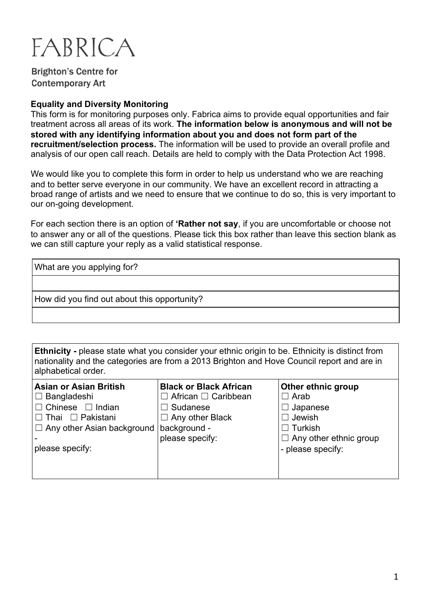

**Brighton's Centre for Contemporary Art** 

#### **Equality and Diversity Monitoring**

This form is for monitoring purposes only. Fabrica aims to provide equal opportunities and fair treatment across all areas of its work. **The information below is anonymous and will not be stored with any identifying information about you and does not form part of the recruitment/selection process.** The information will be used to provide an overall profile and analysis of our open call reach. Details are held to comply with the Data Protection Act 1998.

We would like you to complete this form in order to help us understand who we are reaching and to better serve everyone in our community. We have an excellent record in attracting a broad range of artists and we need to ensure that we continue to do so, this is very important to our on-going development.

For each section there is an option of **'Rather not say**, if you are uncomfortable or choose not to answer any or all of the questions. Please tick this box rather than leave this section blank as we can still capture your reply as a valid statistical response.

What are you applying for?

How did you find out about this opportunity?

**Ethnicity -** please state what you consider your ethnic origin to be. Ethnicity is distinct from nationality and the categories are from a 2013 Brighton and Hove Council report and are in alphabetical order.

| Asian or Asian British<br>$ \Box$ Bangladeshi<br>$\square$ Chinese $\square$ Indian<br> □ Thai □ Pakistani<br>$ \square$ Any other Asian background   background -<br>please specify: | <b>Black or Black African</b><br>African <sup>[1</sup> Caribbean]<br>$\Box$ Sudanese<br>$\Box$ Any other Black<br>please specify: | Other ethnic group<br>$\Box$ Arab<br>$\Box$ Japanese<br>$\Box$ Jewish<br>$\Box$ Turkish<br>$\Box$ Any other ethnic group<br>- please specify: |
|---------------------------------------------------------------------------------------------------------------------------------------------------------------------------------------|-----------------------------------------------------------------------------------------------------------------------------------|-----------------------------------------------------------------------------------------------------------------------------------------------|
|---------------------------------------------------------------------------------------------------------------------------------------------------------------------------------------|-----------------------------------------------------------------------------------------------------------------------------------|-----------------------------------------------------------------------------------------------------------------------------------------------|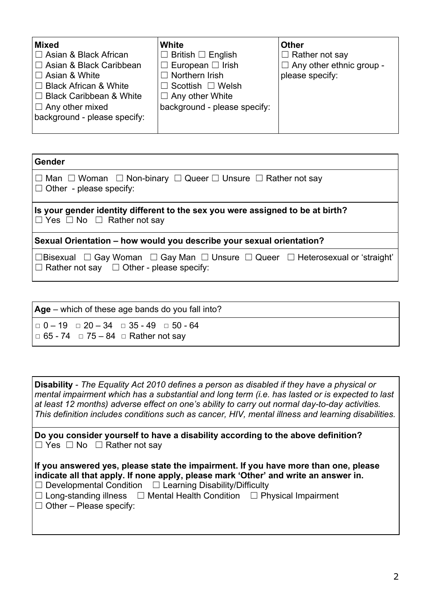| <b>Mixed</b>                   | White                               | <b>Other</b>                    |
|--------------------------------|-------------------------------------|---------------------------------|
| $\Box$ Asian & Black African   | $\Box$ British $\Box$ English       | $\Box$ Rather not say           |
| $\Box$ Asian & Black Caribbean | $\Box$ European $\Box$ Irish        | $\Box$ Any other ethnic group - |
| $\Box$ Asian & White           | $\Box$ Northern Irish               | please specify:                 |
| $\Box$ Black African & White   | $\sqsupset$ Scottish $\;\Box$ Welsh |                                 |
| $\Box$ Black Caribbean & White | $\Box$ Any other White              |                                 |
| $\Box$ Any other mixed         | background - please specify:        |                                 |
| background - please specify:   |                                     |                                 |
|                                |                                     |                                 |

| <b>Gender</b>                                                                                                                         |  |  |  |  |
|---------------------------------------------------------------------------------------------------------------------------------------|--|--|--|--|
| $\Box$ Man $\Box$ Woman $\Box$ Non-binary $\Box$ Queer $\Box$ Unsure $\Box$ Rather not say<br>$\Box$ Other - please specify:          |  |  |  |  |
| Is your gender identity different to the sex you were assigned to be at birth?<br>$\Box$ Yes $\Box$ No $\Box$ Rather not say          |  |  |  |  |
| Sexual Orientation – how would you describe your sexual orientation?                                                                  |  |  |  |  |
| □Bisexual □ Gay Woman □ Gay Man □ Unsure □ Queer □ Heterosexual or 'straight'<br>$\Box$ Rather not say $\Box$ Other - please specify: |  |  |  |  |

| $\textsf{Age}$ – which of these age bands do you fall into?                                                                  |  |  |
|------------------------------------------------------------------------------------------------------------------------------|--|--|
| $\Box$ 0 - 19 $\Box$ 20 - 34 $\Box$ 35 - 49 $\Box$ 50 - 64<br>$\vert \square 65 - 74 \square 75 - 84 \square$ Rather not say |  |  |

| <b>Disability</b> - The Equality Act 2010 defines a person as disabled if they have a physical or<br>mental impairment which has a substantial and long term (i.e. has lasted or is expected to last<br>at least 12 months) adverse effect on one's ability to carry out normal day-to-day activities.<br>This definition includes conditions such as cancer, HIV, mental illness and learning disabilities. |
|--------------------------------------------------------------------------------------------------------------------------------------------------------------------------------------------------------------------------------------------------------------------------------------------------------------------------------------------------------------------------------------------------------------|
| Do you consider yourself to have a disability according to the above definition?<br>$\Box$ Yes $\Box$ No $\Box$ Rather not say                                                                                                                                                                                                                                                                               |
| If you answered yes, please state the impairment. If you have more than one, please<br>indicate all that apply. If none apply, please mark 'Other' and write an answer in.<br>$\Box$ Developmental Condition $\Box$ Learning Disability/Difficulty<br>$\Box$ Long-standing illness $\Box$ Mental Health Condition $\Box$ Physical Impairment<br>$\Box$ Other – Please specify:                               |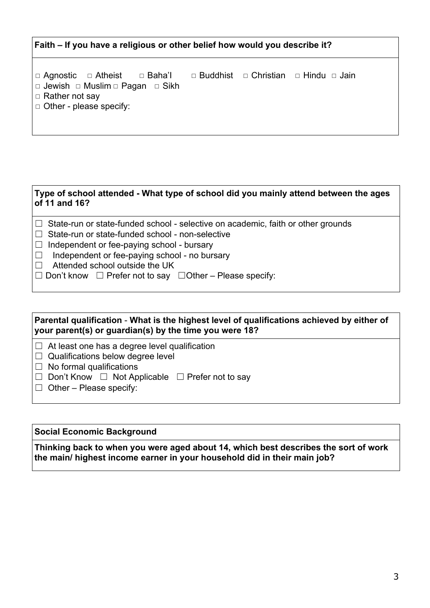# **Faith – If you have a religious or other belief how would you describe it?**

**□ Agnostic □ Atheist □ Baha'I □ Buddhist □ Christian □ Hindu □ Jain □ Jewish □ Muslim □ Pagan □ Sikh** □ Rather not say ◻ Other - please specify:

#### **Type of school attended - What type of school did you mainly attend between the ages of 11 and 16?**

- □ State-run or state-funded school selective on academic, faith or other grounds
- □ State-run or state-funded school non-selective
- $\Box$  Independent or fee-paying school bursary
- ☐ Independent or fee-paying school no bursary
- $\Box$  Attended school outside the UK
- ☐ Don't know ☐ Prefer not to say ☐Other Please specify:

## **Parental qualification** - **What is the highest level of qualifications achieved by either of your parent(s) or guardian(s) by the time you were 18?**

- $\Box$  At least one has a degree level qualification
- $\Box$  Qualifications below degree level
- $\Box$  No formal qualifications
- ☐ Don't Know ☐ Not Applicable ☐ Prefer not to say
- $\Box$  Other Please specify:

### **Social Economic Background**

**Thinking back to when you were aged about 14, which best describes the sort of work the main/ highest income earner in your household did in their main job?**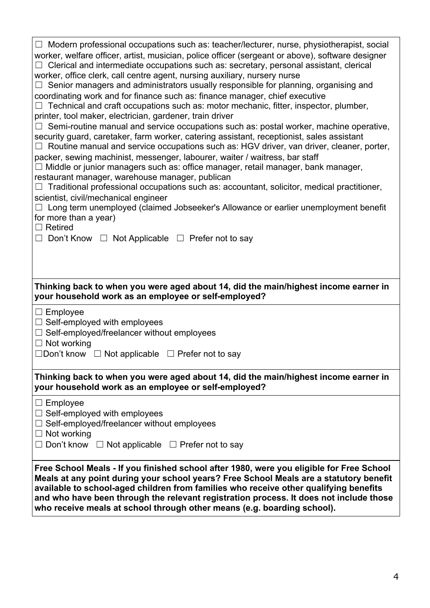| $\Box$ Modern professional occupations such as: teacher/lecturer, nurse, physiotherapist, social<br>worker, welfare officer, artist, musician, police officer (sergeant or above), software designer<br>Clerical and intermediate occupations such as: secretary, personal assistant, clerical<br>worker, office clerk, call centre agent, nursing auxiliary, nursery nurse<br>Senior managers and administrators usually responsible for planning, organising and<br>⊔<br>coordinating work and for finance such as: finance manager, chief executive<br>Technical and craft occupations such as: motor mechanic, fitter, inspector, plumber,<br>printer, tool maker, electrician, gardener, train driver<br>Semi-routine manual and service occupations such as: postal worker, machine operative,<br>security guard, caretaker, farm worker, catering assistant, receptionist, sales assistant<br>$\Box$ Routine manual and service occupations such as: HGV driver, van driver, cleaner, porter,<br>packer, sewing machinist, messenger, labourer, waiter / waitress, bar staff<br>Middle or junior managers such as: office manager, retail manager, bank manager,<br>restaurant manager, warehouse manager, publican<br>Traditional professional occupations such as: accountant, solicitor, medical practitioner, |  |  |
|--------------------------------------------------------------------------------------------------------------------------------------------------------------------------------------------------------------------------------------------------------------------------------------------------------------------------------------------------------------------------------------------------------------------------------------------------------------------------------------------------------------------------------------------------------------------------------------------------------------------------------------------------------------------------------------------------------------------------------------------------------------------------------------------------------------------------------------------------------------------------------------------------------------------------------------------------------------------------------------------------------------------------------------------------------------------------------------------------------------------------------------------------------------------------------------------------------------------------------------------------------------------------------------------------------------------------|--|--|
| scientist, civil/mechanical engineer                                                                                                                                                                                                                                                                                                                                                                                                                                                                                                                                                                                                                                                                                                                                                                                                                                                                                                                                                                                                                                                                                                                                                                                                                                                                                     |  |  |
| $\Box$ Long term unemployed (claimed Jobseeker's Allowance or earlier unemployment benefit                                                                                                                                                                                                                                                                                                                                                                                                                                                                                                                                                                                                                                                                                                                                                                                                                                                                                                                                                                                                                                                                                                                                                                                                                               |  |  |
| for more than a year)                                                                                                                                                                                                                                                                                                                                                                                                                                                                                                                                                                                                                                                                                                                                                                                                                                                                                                                                                                                                                                                                                                                                                                                                                                                                                                    |  |  |
| Retired                                                                                                                                                                                                                                                                                                                                                                                                                                                                                                                                                                                                                                                                                                                                                                                                                                                                                                                                                                                                                                                                                                                                                                                                                                                                                                                  |  |  |
| Don't Know $\Box$ Not Applicable $\Box$ Prefer not to say                                                                                                                                                                                                                                                                                                                                                                                                                                                                                                                                                                                                                                                                                                                                                                                                                                                                                                                                                                                                                                                                                                                                                                                                                                                                |  |  |
|                                                                                                                                                                                                                                                                                                                                                                                                                                                                                                                                                                                                                                                                                                                                                                                                                                                                                                                                                                                                                                                                                                                                                                                                                                                                                                                          |  |  |
| Thinking back to when you were aged about 14, did the main/highest income earner in<br>your household work as an employee or self-employed?                                                                                                                                                                                                                                                                                                                                                                                                                                                                                                                                                                                                                                                                                                                                                                                                                                                                                                                                                                                                                                                                                                                                                                              |  |  |
| $\Box$ Employee                                                                                                                                                                                                                                                                                                                                                                                                                                                                                                                                                                                                                                                                                                                                                                                                                                                                                                                                                                                                                                                                                                                                                                                                                                                                                                          |  |  |
| $\Box$ Self-employed with employees                                                                                                                                                                                                                                                                                                                                                                                                                                                                                                                                                                                                                                                                                                                                                                                                                                                                                                                                                                                                                                                                                                                                                                                                                                                                                      |  |  |
| Self-employed/freelancer without employees                                                                                                                                                                                                                                                                                                                                                                                                                                                                                                                                                                                                                                                                                                                                                                                                                                                                                                                                                                                                                                                                                                                                                                                                                                                                               |  |  |
| $\Box$ Not working<br>$\Box$ Don't know $\Box$ Not applicable $\Box$ Prefer not to say                                                                                                                                                                                                                                                                                                                                                                                                                                                                                                                                                                                                                                                                                                                                                                                                                                                                                                                                                                                                                                                                                                                                                                                                                                   |  |  |
|                                                                                                                                                                                                                                                                                                                                                                                                                                                                                                                                                                                                                                                                                                                                                                                                                                                                                                                                                                                                                                                                                                                                                                                                                                                                                                                          |  |  |
| Thinking back to when you were aged about 14, did the main/highest income earner in<br>your household work as an employee or self-employed?                                                                                                                                                                                                                                                                                                                                                                                                                                                                                                                                                                                                                                                                                                                                                                                                                                                                                                                                                                                                                                                                                                                                                                              |  |  |
| Employee                                                                                                                                                                                                                                                                                                                                                                                                                                                                                                                                                                                                                                                                                                                                                                                                                                                                                                                                                                                                                                                                                                                                                                                                                                                                                                                 |  |  |
| Self-employed with employees                                                                                                                                                                                                                                                                                                                                                                                                                                                                                                                                                                                                                                                                                                                                                                                                                                                                                                                                                                                                                                                                                                                                                                                                                                                                                             |  |  |
| Self-employed/freelancer without employees                                                                                                                                                                                                                                                                                                                                                                                                                                                                                                                                                                                                                                                                                                                                                                                                                                                                                                                                                                                                                                                                                                                                                                                                                                                                               |  |  |
| $\Box$ Not working                                                                                                                                                                                                                                                                                                                                                                                                                                                                                                                                                                                                                                                                                                                                                                                                                                                                                                                                                                                                                                                                                                                                                                                                                                                                                                       |  |  |
| $\Box$ Don't know $\Box$ Not applicable $\Box$ Prefer not to say                                                                                                                                                                                                                                                                                                                                                                                                                                                                                                                                                                                                                                                                                                                                                                                                                                                                                                                                                                                                                                                                                                                                                                                                                                                         |  |  |
| Free School Meals - If you finished school after 1980, were you eligible for Free School<br>Meals at any point during your school years? Free School Meals are a statutory benefit<br>available to school-aged children from families who receive other qualifying benefits<br>and who have been through the relevant registration process. It does not include those<br>who receive meals at school through other means (e.g. boarding school).                                                                                                                                                                                                                                                                                                                                                                                                                                                                                                                                                                                                                                                                                                                                                                                                                                                                         |  |  |